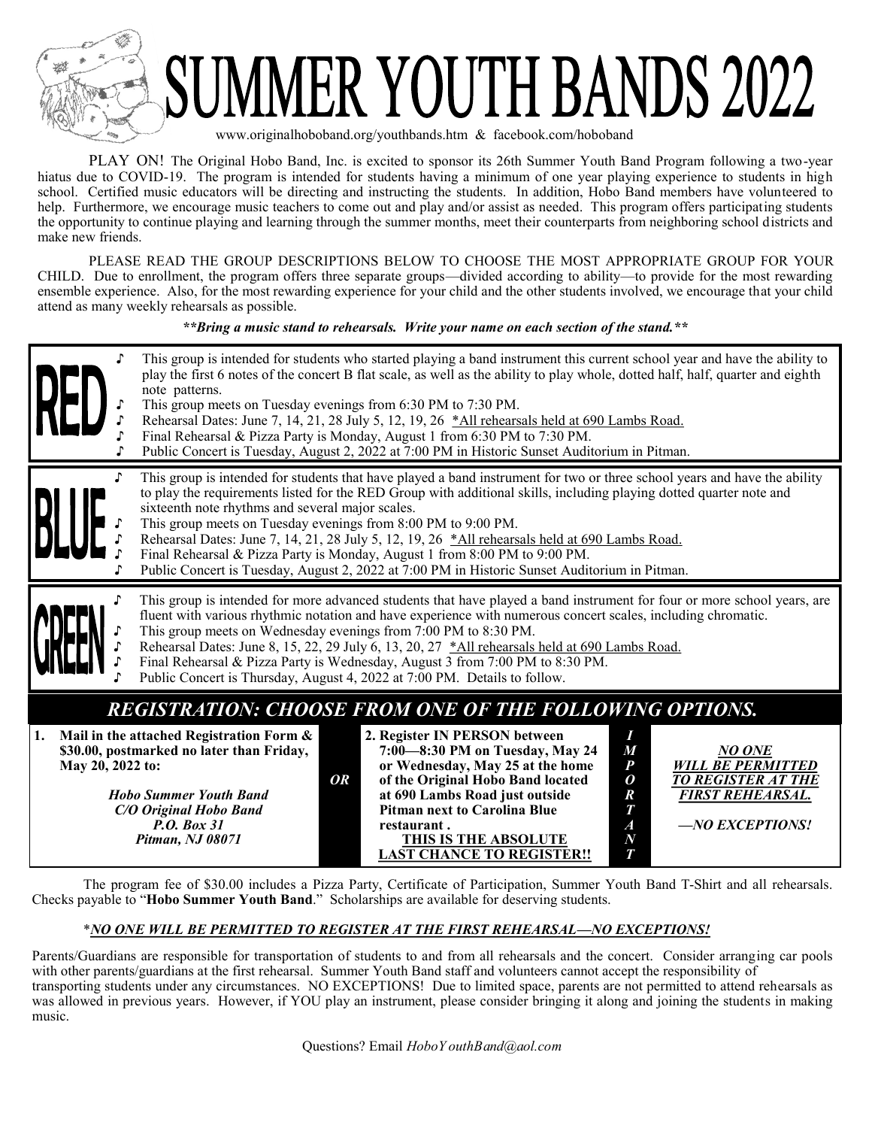

## ER YOUTH BANDS 2022

www.originalhoboband.org/youthbands.htm & facebook.com/hoboband

PLAY ON! The Original Hobo Band, Inc. is excited to sponsor its 26th Summer Youth Band Program following a two-year hiatus due to COVID-19. The program is intended for students having a minimum of one year playing experience to students in high school. Certified music educators will be directing and instructing the students. In addition, Hobo Band members have volunteered to help. Furthermore, we encourage music teachers to come out and play and/or assist as needed. This program offers participating students the opportunity to continue playing and learning through the summer months, meet their counterparts from neighboring school districts and make new friends.

PLEASE READ THE GROUP DESCRIPTIONS BELOW TO CHOOSE THE MOST APPROPRIATE GROUP FOR YOUR CHILD. Due to enrollment, the program offers three separate groups—divided according to ability—to provide for the most rewarding ensemble experience. Also, for the most rewarding experience for your child and the other students involved, we encourage that your child attend as many weekly rehearsals as possible.

*\*\*Bring a music stand to rehearsals. Write your name on each section of the stand.\*\**

|                        | This group is intended for students who started playing a band instrument this current school year and have the ability to<br>play the first 6 notes of the concert B flat scale, as well as the ability to play whole, dotted half, half, quarter and eighth<br>note patterns.<br>This group meets on Tuesday evenings from 6:30 PM to 7:30 PM.<br>Rehearsal Dates: June 7, 14, 21, 28 July 5, 12, 19, 26 *All rehearsals held at 690 Lambs Road.<br>Final Rehearsal & Pizza Party is Monday, August 1 from 6:30 PM to 7:30 PM.<br>Public Concert is Tuesday, August 2, 2022 at 7:00 PM in Historic Sunset Auditorium in Pitman.                                                                                                                                                                    |  |  |  |  |  |  |  |
|------------------------|------------------------------------------------------------------------------------------------------------------------------------------------------------------------------------------------------------------------------------------------------------------------------------------------------------------------------------------------------------------------------------------------------------------------------------------------------------------------------------------------------------------------------------------------------------------------------------------------------------------------------------------------------------------------------------------------------------------------------------------------------------------------------------------------------|--|--|--|--|--|--|--|
| ♪                      | This group is intended for students that have played a band instrument for two or three school years and have the ability<br>to play the requirements listed for the RED Group with additional skills, including playing dotted quarter note and<br>sixteenth note rhythms and several major scales.<br>This group meets on Tuesday evenings from 8:00 PM to 9:00 PM.<br>Rehearsal Dates: June 7, 14, 21, 28 July 5, 12, 19, 26 *All rehearsals held at 690 Lambs Road.<br>Final Rehearsal & Pizza Party is Monday, August 1 from 8:00 PM to 9:00 PM.<br>Public Concert is Tuesday, August 2, 2022 at 7:00 PM in Historic Sunset Auditorium in Pitman.                                                                                                                                               |  |  |  |  |  |  |  |
|                        | This group is intended for more advanced students that have played a band instrument for four or more school years, are<br>fluent with various rhythmic notation and have experience with numerous concert scales, including chromatic.<br>This group meets on Wednesday evenings from 7:00 PM to 8:30 PM.<br>Rehearsal Dates: June 8, 15, 22, 29 July 6, 13, 20, 27 *All rehearsals held at 690 Lambs Road.<br>Final Rehearsal & Pizza Party is Wednesday, August 3 from 7:00 PM to 8:30 PM.<br>Public Concert is Thursday, August 4, 2022 at 7:00 PM. Details to follow.                                                                                                                                                                                                                           |  |  |  |  |  |  |  |
| 1.<br>May 20, 2022 to: | <b>REGISTRATION: CHOOSE FROM ONE OF THE FOLLOWING OPTIONS.</b><br>Mail in the attached Registration Form &<br>2. Register IN PERSON between<br>I<br>\$30.00, postmarked no later than Friday,<br>7:00-8:30 PM on Tuesday, May 24<br>M<br><b>NO ONE</b><br>or Wednesday, May 25 at the home<br>$\boldsymbol{P}$<br><b>WILL BE PERMITTED</b><br><b>OR</b><br>of the Original Hobo Band located<br><b>TO REGISTER AT THE</b><br>0<br>at 690 Lambs Road just outside<br><b>Hobo Summer Youth Band</b><br><b>FIRST REHEARSAL.</b><br>$\pmb{R}$<br>C/O Original Hobo Band<br><b>Pitman next to Carolina Blue</b><br>T<br>-NO EXCEPTIONS!<br><b>P.O. Box 31</b><br>$\boldsymbol{A}$<br>restaurant.<br>Pitman, NJ 08071<br>THIS IS THE ABSOLUTE<br>$\boldsymbol{N}$<br><b>LAST CHANCE TO REGISTER!!</b><br>T |  |  |  |  |  |  |  |

The program fee of \$30.00 includes a Pizza Party, Certificate of Participation, Summer Youth Band T-Shirt and all rehearsals. Checks payable to "**Hobo Summer Youth Band**." Scholarships are available for deserving students.

## \**NO ONE WILL BE PERMITTED TO REGISTER AT THE FIRST REHEARSAL—NO EXCEPTIONS!*

Parents/Guardians are responsible for transportation of students to and from all rehearsals and the concert. Consider arranging car pools with other parents/guardians at the first rehearsal. Summer Youth Band staff and volunteers cannot accept the responsibility of transporting students under any circumstances. NO EXCEPTIONS! Due to limited space, parents are not permitted to attend rehearsals as was allowed in previous years. However, if YOU play an instrument, please consider bringing it along and joining the students in making music.

Questions? Email *HoboY outhBand@aol.com*